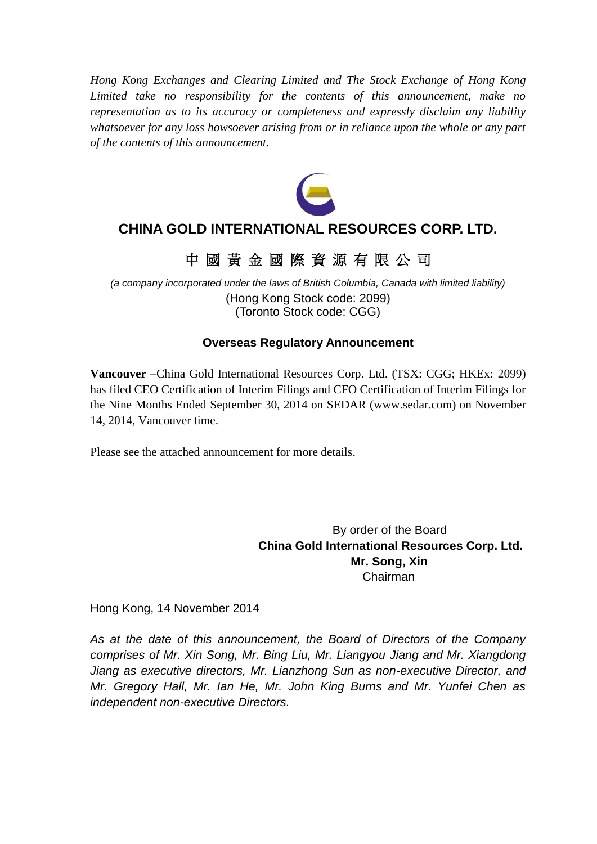*Hong Kong Exchanges and Clearing Limited and The Stock Exchange of Hong Kong Limited take no responsibility for the contents of this announcement, make no representation as to its accuracy or completeness and expressly disclaim any liability whatsoever for any loss howsoever arising from or in reliance upon the whole or any part of the contents of this announcement.*



# **CHINA GOLD INTERNATIONAL RESOURCES CORP. LTD.**

# 中 國 黃 金 國 際 資 源 有 限 公 司

*(a company incorporated under the laws of British Columbia, Canada with limited liability)* (Hong Kong Stock code: 2099) (Toronto Stock code: CGG)

## **Overseas Regulatory Announcement**

**Vancouver** –China Gold International Resources Corp. Ltd. (TSX: CGG; HKEx: 2099) has filed CEO Certification of Interim Filings and CFO Certification of Interim Filings for the Nine Months Ended September 30, 2014 on SEDAR (www.sedar.com) on November 14, 2014, Vancouver time.

Please see the attached announcement for more details.

By order of the Board **China Gold International Resources Corp. Ltd. Mr. Song, Xin** Chairman

Hong Kong, 14 November 2014

*As at the date of this announcement, the Board of Directors of the Company comprises of Mr. Xin Song, Mr. Bing Liu, Mr. Liangyou Jiang and Mr. Xiangdong Jiang as executive directors, Mr. Lianzhong Sun as non-executive Director, and Mr. Gregory Hall, Mr. Ian He, Mr. John King Burns and Mr. Yunfei Chen as independent non-executive Directors.*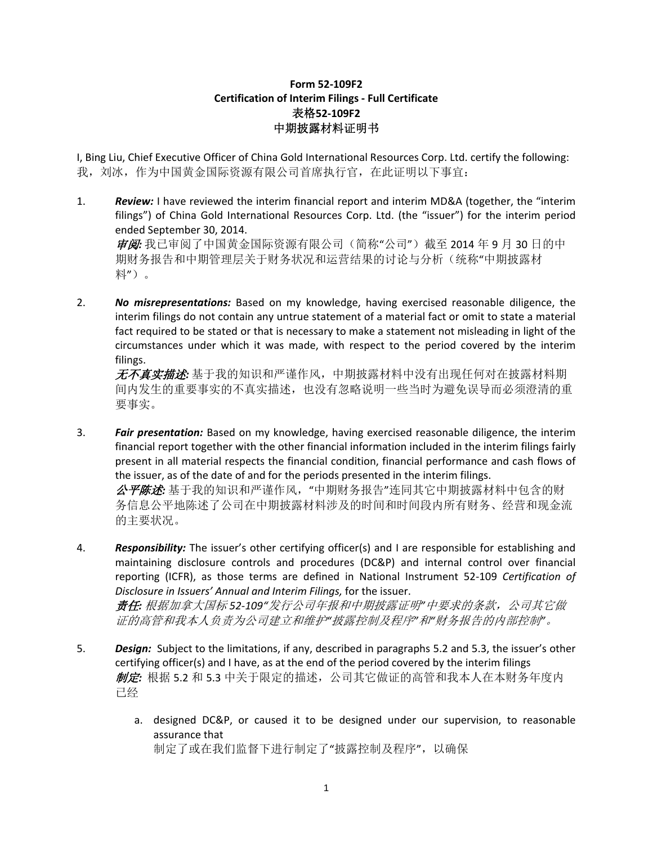### **Form 52‐109F2 Certification of Interim Filings ‐ Full Certificate** 表格**52‐109F2** 中期披露材料证明书

I, Bing Liu, Chief Executive Officer of China Gold International Resources Corp. Ltd. certify the following: 我,刘冰,作为中国黄金国际资源有限公司首席执行官,在此证明以下事宜:

- 1. *Review:* I have reviewed the interim financial report and interim MD&A (together, the "interim filings") of China Gold International Resources Corp. Ltd. (the "issuer") for the interim period ended September 30, 2014. 审阅*:* 我已审阅了中国黄金国际资源有限公司(简称"公司")截至 2014 年 9 月 30 日的中 期财务报告和中期管理层关于财务状况和运营结果的讨论与分析(统称"中期披露材 料")。
- 2. *No misrepresentations:* Based on my knowledge, having exercised reasonable diligence, the interim filings do not contain any untrue statement of a material fact or omit to state a material fact required to be stated or that is necessary to make a statement not misleading in light of the circumstances under which it was made, with respect to the period covered by the interim filings.

无不真实描述*:* 基于我的知识和严谨作风,中期披露材料中没有出现任何对在披露材料期 间内发生的重要事实的不真实描述,也没有忽略说明一些当时为避免误导而必须澄清的重 要事实。

- 3. *Fair presentation:* Based on my knowledge, having exercised reasonable diligence, the interim financial report together with the other financial information included in the interim filings fairly present in all material respects the financial condition, financial performance and cash flows of the issuer, as of the date of and for the periods presented in the interim filings. 公平陈述*:* 基于我的知识和严谨作风,"中期财务报告"连同其它中期披露材料中包含的财 务信息公平地陈述了公司在中期披露材料涉及的时间和时间段内所有财务、经营和现金流 的主要状况。
- 4. *Responsibility:* The issuer's other certifying officer(s) and I are responsible for establishing and maintaining disclosure controls and procedures (DC&P) and internal control over financial reporting (ICFR), as those terms are defined in National Instrument 52‐109 *Certification of Disclosure in Issuers' Annual and Interim Filings,* for the issuer.

责任*:* 根据加拿大国标 *52‐109"*发行公司年报和中期披露证明*"*中要求的条款,公司其它做 证的高管和我本人负责为公司建立和维护*"*披露控制及程序*"*和*"*财务报告的内部控制*"*。

- 5. *Design:* Subject to the limitations, if any, described in paragraphs 5.2 and 5.3, the issuer's other certifying officer(s) and I have, as at the end of the period covered by the interim filings 制定*:* 根据 5.2 和 5.3 中关于限定的描述,公司其它做证的高管和我本人在本财务年度内 已经
	- a. designed DC&P, or caused it to be designed under our supervision, to reasonable assurance that

制定了或在我们监督下进行制定了"披露控制及程序",以确保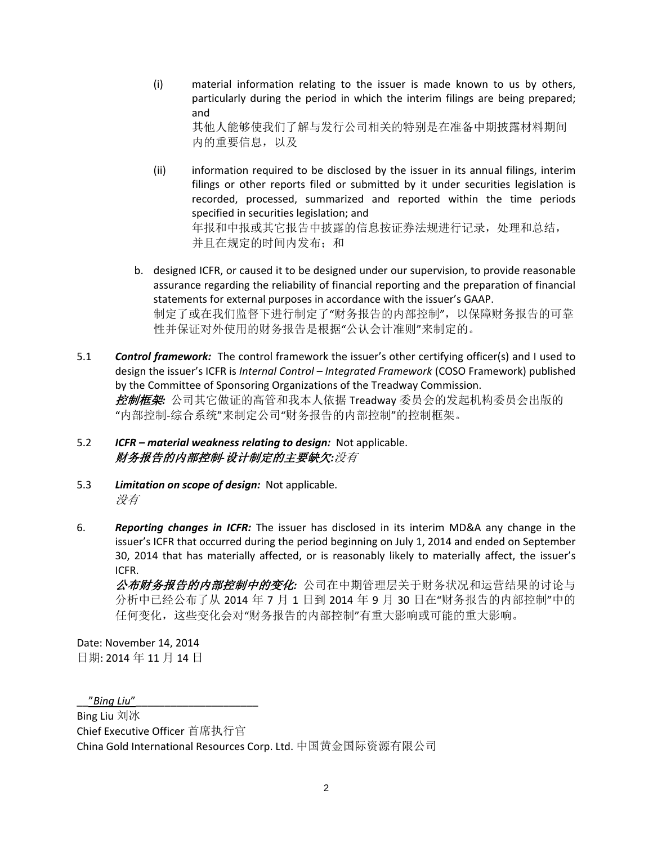- (i) material information relating to the issuer is made known to us by others, particularly during the period in which the interim filings are being prepared; and 其他人能够使我们了解与发行公司相关的特别是在准备中期披露材料期间 内的重要信息,以及
- (ii) information required to be disclosed by the issuer in its annual filings, interim filings or other reports filed or submitted by it under securities legislation is recorded, processed, summarized and reported within the time periods specified in securities legislation; and 年报和中报或其它报告中披露的信息按证券法规进行记录,处理和总结, 并且在规定的时间内发布;和
- b. designed ICFR, or caused it to be designed under our supervision, to provide reasonable assurance regarding the reliability of financial reporting and the preparation of financial statements for external purposes in accordance with the issuer's GAAP. 制定了或在我们监督下进行制定了"财务报告的内部控制",以保障财务报告的可靠 性并保证对外使用的财务报告是根据"公认会计准则"来制定的。
- 5.1 *Control framework:* The control framework the issuer's other certifying officer(s) and I used to design the issuer's ICFR is *Internal Control – Integrated Framework* (COSO Framework) published by the Committee of Sponsoring Organizations of the Treadway Commission. 控制框架*:* 公司其它做证的高管和我本人依据 Treadway 委员会的发起机构委员会出版的 "内部控制‐综合系统"来制定公司"财务报告的内部控制"的控制框架。
- 5.2 *ICFR – material weakness relating to design:* Not applicable. 财务报告的内部控制*‐*设计制定的主要缺欠*:*没有
- 5.3 *Limitation on scope of design:* Not applicable. 没有
- 6. *Reporting changes in ICFR:* The issuer has disclosed in its interim MD&A any change in the issuer's ICFR that occurred during the period beginning on July 1, 2014 and ended on September 30, 2014 that has materially affected, or is reasonably likely to materially affect, the issuer's ICFR.

公布财务报告的内部控制中的变化*:* 公司在中期管理层关于财务状况和运营结果的讨论与 分析中已经公布了从 2014 年 7 月 1 日到 2014 年 9 月 30 日在"财务报告的内部控制"中的 任何变化,这些变化会对"财务报告的内部控制"有重大影响或可能的重大影响。

Date: November 14, 2014 日期: 2014 年 11 月 14 日

\_\_"*Bing Liu*"\_\_\_\_\_\_\_\_\_\_\_\_\_\_\_\_\_\_\_\_\_

Bing Liu 刘冰 Chief Executive Officer 首席执行官 China Gold International Resources Corp. Ltd. 中国黄金国际资源有限公司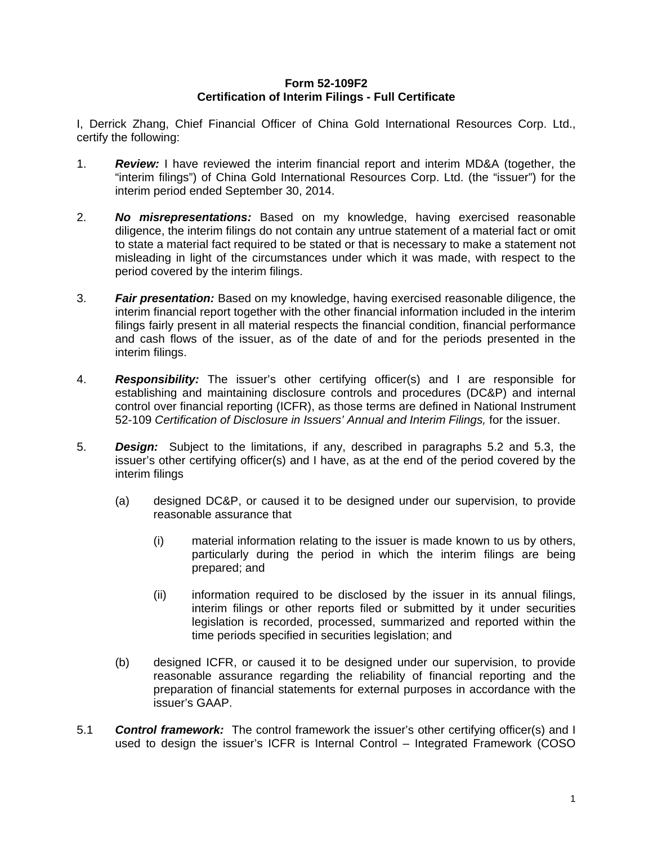#### **Form 52-109F2 Certification of Interim Filings - Full Certificate**

I, Derrick Zhang, Chief Financial Officer of China Gold International Resources Corp. Ltd., certify the following:

- 1. *Review:* I have reviewed the interim financial report and interim MD&A (together, the "interim filings") of China Gold International Resources Corp. Ltd. (the "issuer") for the interim period ended September 30, 2014.
- 2. *No misrepresentations:* Based on my knowledge, having exercised reasonable diligence, the interim filings do not contain any untrue statement of a material fact or omit to state a material fact required to be stated or that is necessary to make a statement not misleading in light of the circumstances under which it was made, with respect to the period covered by the interim filings.
- 3. *Fair presentation:* Based on my knowledge, having exercised reasonable diligence, the interim financial report together with the other financial information included in the interim filings fairly present in all material respects the financial condition, financial performance and cash flows of the issuer, as of the date of and for the periods presented in the interim filings.
- 4. *Responsibility:* The issuer's other certifying officer(s) and I are responsible for establishing and maintaining disclosure controls and procedures (DC&P) and internal control over financial reporting (ICFR), as those terms are defined in National Instrument 52-109 *Certification of Disclosure in Issuers' Annual and Interim Filings,* for the issuer.
- 5. *Design:* Subject to the limitations, if any, described in paragraphs 5.2 and 5.3, the issuer's other certifying officer(s) and I have, as at the end of the period covered by the interim filings
	- (a) designed DC&P, or caused it to be designed under our supervision, to provide reasonable assurance that
		- (i) material information relating to the issuer is made known to us by others, particularly during the period in which the interim filings are being prepared; and
		- (ii) information required to be disclosed by the issuer in its annual filings, interim filings or other reports filed or submitted by it under securities legislation is recorded, processed, summarized and reported within the time periods specified in securities legislation; and
	- (b) designed ICFR, or caused it to be designed under our supervision, to provide reasonable assurance regarding the reliability of financial reporting and the preparation of financial statements for external purposes in accordance with the issuer's GAAP.
- 5.1 *Control framework:* The control framework the issuer's other certifying officer(s) and I used to design the issuer's ICFR is Internal Control – Integrated Framework (COSO